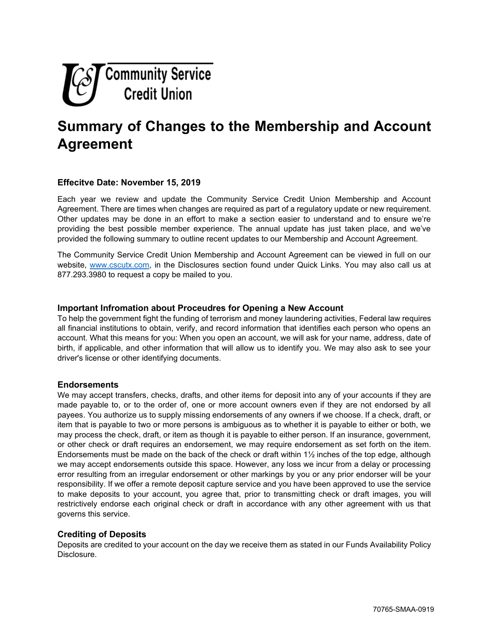

# **Summary of Changes to the Membership and Account Agreement**

# **Effecitve Date: November 15, 2019**

Each year we review and update the Community Service Credit Union Membership and Account Agreement. There are times when changes are required as part of a regulatory update or new requirement. Other updates may be done in an effort to make a section easier to understand and to ensure we're providing the best possible member experience. The annual update has just taken place, and we've provided the following summary to outline recent updates to our Membership and Account Agreement.

The Community Service Credit Union Membership and Account Agreement can be viewed in full on our website, [www.cscutx.com,](http://www.cscutx.com/) in the Disclosures section found under Quick Links. You may also call us at 877.293.3980 to request a copy be mailed to you.

## **Important Infromation about Proceudres for Opening a New Account**

To help the government fight the funding of terrorism and money laundering activities, Federal law requires all financial institutions to obtain, verify, and record information that identifies each person who opens an account. What this means for you: When you open an account, we will ask for your name, address, date of birth, if applicable, and other information that will allow us to identify you. We may also ask to see your driver's license or other identifying documents.

### **Endorsements**

We may accept transfers, checks, drafts, and other items for deposit into any of your accounts if they are made payable to, or to the order of, one or more account owners even if they are not endorsed by all payees. You authorize us to supply missing endorsements of any owners if we choose. If a check, draft, or item that is payable to two or more persons is ambiguous as to whether it is payable to either or both, we may process the check, draft, or item as though it is payable to either person. If an insurance, government, or other check or draft requires an endorsement, we may require endorsement as set forth on the item. Endorsements must be made on the back of the check or draft within  $1\frac{1}{2}$  inches of the top edge, although we may accept endorsements outside this space. However, any loss we incur from a delay or processing error resulting from an irregular endorsement or other markings by you or any prior endorser will be your responsibility. If we offer a remote deposit capture service and you have been approved to use the service to make deposits to your account, you agree that, prior to transmitting check or draft images, you will restrictively endorse each original check or draft in accordance with any other agreement with us that governs this service.

### **Crediting of Deposits**

Deposits are credited to your account on the day we receive them as stated in our Funds Availability Policy Disclosure.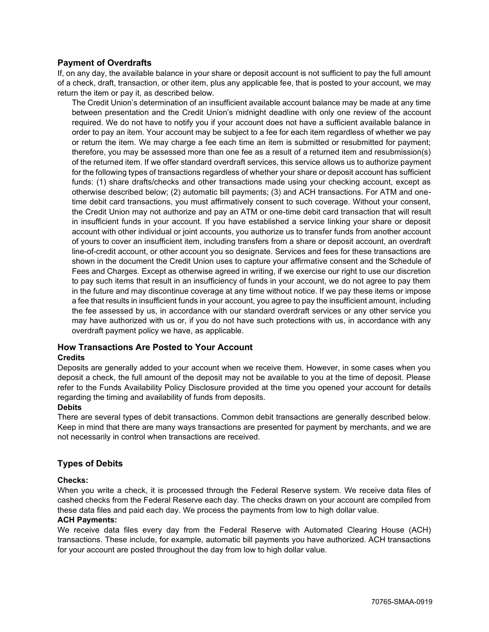# **Payment of Overdrafts**

If, on any day, the available balance in your share or deposit account is not sufficient to pay the full amount of a check, draft, transaction, or other item, plus any applicable fee, that is posted to your account, we may return the item or pay it, as described below.

The Credit Union's determination of an insufficient available account balance may be made at any time between presentation and the Credit Union's midnight deadline with only one review of the account required. We do not have to notify you if your account does not have a sufficient available balance in order to pay an item. Your account may be subject to a fee for each item regardless of whether we pay or return the item. We may charge a fee each time an item is submitted or resubmitted for payment; therefore, you may be assessed more than one fee as a result of a returned item and resubmission(s) of the returned item. If we offer standard overdraft services, this service allows us to authorize payment for the following types of transactions regardless of whether your share or deposit account has sufficient funds: (1) share drafts/checks and other transactions made using your checking account, except as otherwise described below; (2) automatic bill payments; (3) and ACH transactions. For ATM and onetime debit card transactions, you must affirmatively consent to such coverage. Without your consent, the Credit Union may not authorize and pay an ATM or one-time debit card transaction that will result in insufficient funds in your account. If you have established a service linking your share or deposit account with other individual or joint accounts, you authorize us to transfer funds from another account of yours to cover an insufficient item, including transfers from a share or deposit account, an overdraft line-of-credit account, or other account you so designate. Services and fees for these transactions are shown in the document the Credit Union uses to capture your affirmative consent and the Schedule of Fees and Charges. Except as otherwise agreed in writing, if we exercise our right to use our discretion to pay such items that result in an insufficiency of funds in your account, we do not agree to pay them in the future and may discontinue coverage at any time without notice. If we pay these items or impose a fee that results in insufficient funds in your account, you agree to pay the insufficient amount, including the fee assessed by us, in accordance with our standard overdraft services or any other service you may have authorized with us or, if you do not have such protections with us, in accordance with any overdraft payment policy we have, as applicable.

### **How Transactions Are Posted to Your Account Credits**

Deposits are generally added to your account when we receive them. However, in some cases when you deposit a check, the full amount of the deposit may not be available to you at the time of deposit. Please refer to the Funds Availability Policy Disclosure provided at the time you opened your account for details regarding the timing and availability of funds from deposits.

### **Debits**

There are several types of debit transactions. Common debit transactions are generally described below. Keep in mind that there are many ways transactions are presented for payment by merchants, and we are not necessarily in control when transactions are received.

## **Types of Debits**

### **Checks:**

When you write a check, it is processed through the Federal Reserve system. We receive data files of cashed checks from the Federal Reserve each day. The checks drawn on your account are compiled from these data files and paid each day. We process the payments from low to high dollar value.

### **ACH Payments:**

We receive data files every day from the Federal Reserve with Automated Clearing House (ACH) transactions. These include, for example, automatic bill payments you have authorized. ACH transactions for your account are posted throughout the day from low to high dollar value.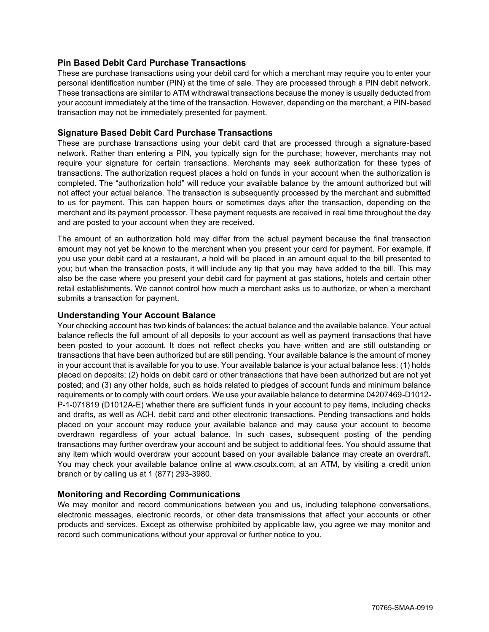# **Pin Based Debit Card Purchase Transactions**

These are purchase transactions using your debit card for which a merchant may require you to enter your personal identification number (PIN) at the time of sale. They are processed through a PIN debit network. These transactions are similar to ATM withdrawal transactions because the money is usually deducted from your account immediately at the time of the transaction. However, depending on the merchant, a PIN-based transaction may not be immediately presented for payment.

## **Signature Based Debit Card Purchase Transactions**

These are purchase transactions using your debit card that are processed through a signature-based network. Rather than entering a PIN, you typically sign for the purchase; however, merchants may not require your signature for certain transactions. Merchants may seek authorization for these types of transactions. The authorization request places a hold on funds in your account when the authorization is completed. The "authorization hold" will reduce your available balance by the amount authorized but will not affect your actual balance. The transaction is subsequently processed by the merchant and submitted to us for payment. This can happen hours or sometimes days after the transaction, depending on the merchant and its payment processor. These payment requests are received in real time throughout the day and are posted to your account when they are received.

The amount of an authorization hold may differ from the actual payment because the final transaction amount may not yet be known to the merchant when you present your card for payment. For example, if you use your debit card at a restaurant, a hold will be placed in an amount equal to the bill presented to you; but when the transaction posts, it will include any tip that you may have added to the bill. This may also be the case where you present your debit card for payment at gas stations, hotels and certain other retail establishments. We cannot control how much a merchant asks us to authorize, or when a merchant submits a transaction for payment.

## **Understanding Your Account Balance**

Your checking account has two kinds of balances: the actual balance and the available balance. Your actual balance reflects the full amount of all deposits to your account as well as payment transactions that have been posted to your account. It does not reflect checks you have written and are still outstanding or transactions that have been authorized but are still pending. Your available balance is the amount of money in your account that is available for you to use. Your available balance is your actual balance less: (1) holds placed on deposits; (2) holds on debit card or other transactions that have been authorized but are not yet posted; and (3) any other holds, such as holds related to pledges of account funds and minimum balance requirements or to comply with court orders. We use your available balance to determine 04207469-D1012- P-1-071819 (D1012A-E) whether there are sufficient funds in your account to pay items, including checks and drafts, as well as ACH, debit card and other electronic transactions. Pending transactions and holds placed on your account may reduce your available balance and may cause your account to become overdrawn regardless of your actual balance. In such cases, subsequent posting of the pending transactions may further overdraw your account and be subject to additional fees. You should assume that any item which would overdraw your account based on your available balance may create an overdraft. You may check your available balance online at www.cscutx.com, at an ATM, by visiting a credit union branch or by calling us at 1 (877) 293-3980.

## **Monitoring and Recording Communications**

We may monitor and record communications between you and us, including telephone conversations, electronic messages, electronic records, or other data transmissions that affect your accounts or other products and services. Except as otherwise prohibited by applicable law, you agree we may monitor and record such communications without your approval or further notice to you.